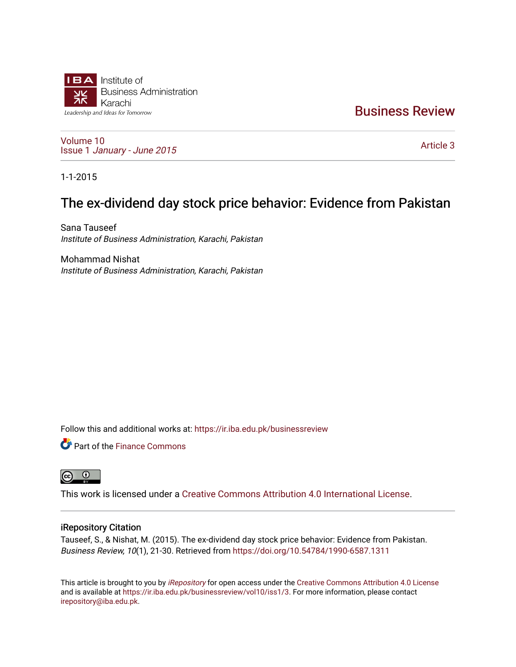

[Business Review](https://ir.iba.edu.pk/businessreview) 

[Volume 10](https://ir.iba.edu.pk/businessreview/vol10) Issue 1 [January - June 2015](https://ir.iba.edu.pk/businessreview/vol10/iss1) 

[Article 3](https://ir.iba.edu.pk/businessreview/vol10/iss1/3) 

1-1-2015

# The ex-dividend day stock price behavior: Evidence from Pakistan

Sana Tauseef Institute of Business Administration, Karachi, Pakistan

Mohammad Nishat Institute of Business Administration, Karachi, Pakistan

Follow this and additional works at: [https://ir.iba.edu.pk/businessreview](https://ir.iba.edu.pk/businessreview?utm_source=ir.iba.edu.pk%2Fbusinessreview%2Fvol10%2Fiss1%2F3&utm_medium=PDF&utm_campaign=PDFCoverPages) 

Part of the [Finance Commons](http://network.bepress.com/hgg/discipline/345?utm_source=ir.iba.edu.pk%2Fbusinessreview%2Fvol10%2Fiss1%2F3&utm_medium=PDF&utm_campaign=PDFCoverPages) 



This work is licensed under a [Creative Commons Attribution 4.0 International License](https://creativecommons.org/licenses/by/4.0/).

## iRepository Citation

Tauseef, S., & Nishat, M. (2015). The ex-dividend day stock price behavior: Evidence from Pakistan. Business Review, 10(1), 21-30. Retrieved from<https://doi.org/10.54784/1990-6587.1311>

This article is brought to you by [iRepository](https://ir.iba.edu.pk/) for open access under the Creative Commons Attribution 4.0 License and is available at [https://ir.iba.edu.pk/businessreview/vol10/iss1/3.](https://ir.iba.edu.pk/businessreview/vol10/iss1/3) For more information, please contact [irepository@iba.edu.pk.](mailto:irepository@iba.edu.pk)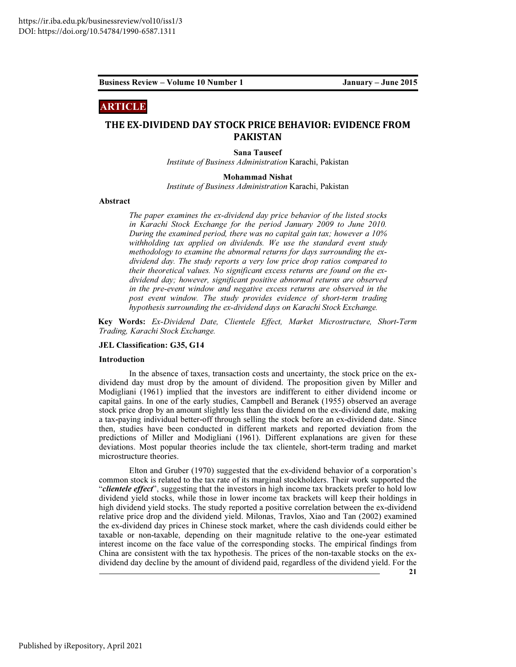# ARTICLE

# THE EX-DIVIDEND DAY STOCK PRICE BEHAVIOR: EVIDENCE FROM PAKISTAN

Sana Tauseef

Institute of Business Administration Karachi, Pakistan

Mohammad Nishat

Institute of Business Administration Karachi, Pakistan

#### Abstract

The paper examines the ex-dividend day price behavior of the listed stocks in Karachi Stock Exchange for the period January 2009 to June 2010. During the examined period, there was no capital gain tax; however a 10% withholding tax applied on dividends. We use the standard event study methodology to examine the abnormal returns for days surrounding the exdividend day. The study reports a very low price drop ratios compared to their theoretical values. No significant excess returns are found on the exdividend day; however, significant positive abnormal returns are observed in the pre-event window and negative excess returns are observed in the post event window. The study provides evidence of short-term trading hypothesis surrounding the ex-dividend days on Karachi Stock Exchange.

Key Words: Ex-Dividend Date, Clientele Effect, Market Microstructure, Short-Term Trading, Karachi Stock Exchange.

#### JEL Classification: G35, G14

#### Introduction

In the absence of taxes, transaction costs and uncertainty, the stock price on the exdividend day must drop by the amount of dividend. The proposition given by Miller and Modigliani (1961) implied that the investors are indifferent to either dividend income or capital gains. In one of the early studies, Campbell and Beranek (1955) observed an average stock price drop by an amount slightly less than the dividend on the ex-dividend date, making a tax-paying individual better-off through selling the stock before an ex-dividend date. Since then, studies have been conducted in different markets and reported deviation from the predictions of Miller and Modigliani (1961). Different explanations are given for these deviations. Most popular theories include the tax clientele, short-term trading and market microstructure theories.

Elton and Gruber (1970) suggested that the ex-dividend behavior of a corporation's common stock is related to the tax rate of its marginal stockholders. Their work supported the "clientele effect", suggesting that the investors in high income tax brackets prefer to hold low dividend yield stocks, while those in lower income tax brackets will keep their holdings in high dividend yield stocks. The study reported a positive correlation between the ex-dividend relative price drop and the dividend yield. Milonas, Travlos, Xiao and Tan (2002) examined the ex-dividend day prices in Chinese stock market, where the cash dividends could either be taxable or non-taxable, depending on their magnitude relative to the one-year estimated interest income on the face value of the corresponding stocks. The empirical findings from China are consistent with the tax hypothesis. The prices of the non-taxable stocks on the exdividend day decline by the amount of dividend paid, regardless of the dividend yield. For the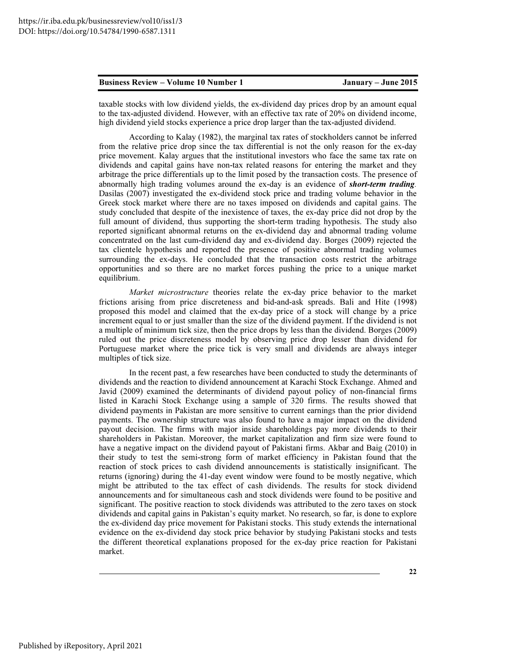taxable stocks with low dividend yields, the ex-dividend day prices drop by an amount equal to the tax-adjusted dividend. However, with an effective tax rate of 20% on dividend income, high dividend yield stocks experience a price drop larger than the tax-adjusted dividend.

According to Kalay (1982), the marginal tax rates of stockholders cannot be inferred from the relative price drop since the tax differential is not the only reason for the ex-day price movement. Kalay argues that the institutional investors who face the same tax rate on dividends and capital gains have non-tax related reasons for entering the market and they arbitrage the price differentials up to the limit posed by the transaction costs. The presence of abnormally high trading volumes around the ex-day is an evidence of **short-term trading**. Dasilas (2007) investigated the ex-dividend stock price and trading volume behavior in the Greek stock market where there are no taxes imposed on dividends and capital gains. The study concluded that despite of the inexistence of taxes, the ex-day price did not drop by the full amount of dividend, thus supporting the short-term trading hypothesis. The study also reported significant abnormal returns on the ex-dividend day and abnormal trading volume concentrated on the last cum-dividend day and ex-dividend day. Borges (2009) rejected the tax clientele hypothesis and reported the presence of positive abnormal trading volumes surrounding the ex-days. He concluded that the transaction costs restrict the arbitrage opportunities and so there are no market forces pushing the price to a unique market equilibrium.

Market microstructure theories relate the ex-day price behavior to the market frictions arising from price discreteness and bid-and-ask spreads. Bali and Hite (1998) proposed this model and claimed that the ex-day price of a stock will change by a price increment equal to or just smaller than the size of the dividend payment. If the dividend is not a multiple of minimum tick size, then the price drops by less than the dividend. Borges (2009) ruled out the price discreteness model by observing price drop lesser than dividend for Portuguese market where the price tick is very small and dividends are always integer multiples of tick size.

In the recent past, a few researches have been conducted to study the determinants of dividends and the reaction to dividend announcement at Karachi Stock Exchange. Ahmed and Javid (2009) examined the determinants of dividend payout policy of non-financial firms listed in Karachi Stock Exchange using a sample of 320 firms. The results showed that dividend payments in Pakistan are more sensitive to current earnings than the prior dividend payments. The ownership structure was also found to have a major impact on the dividend payout decision. The firms with major inside shareholdings pay more dividends to their shareholders in Pakistan. Moreover, the market capitalization and firm size were found to have a negative impact on the dividend payout of Pakistani firms. Akbar and Baig (2010) in their study to test the semi-strong form of market efficiency in Pakistan found that the reaction of stock prices to cash dividend announcements is statistically insignificant. The returns (ignoring) during the 41-day event window were found to be mostly negative, which might be attributed to the tax effect of cash dividends. The results for stock dividend announcements and for simultaneous cash and stock dividends were found to be positive and significant. The positive reaction to stock dividends was attributed to the zero taxes on stock dividends and capital gains in Pakistan's equity market. No research, so far, is done to explore the ex-dividend day price movement for Pakistani stocks. This study extends the international evidence on the ex-dividend day stock price behavior by studying Pakistani stocks and tests the different theoretical explanations proposed for the ex-day price reaction for Pakistani market.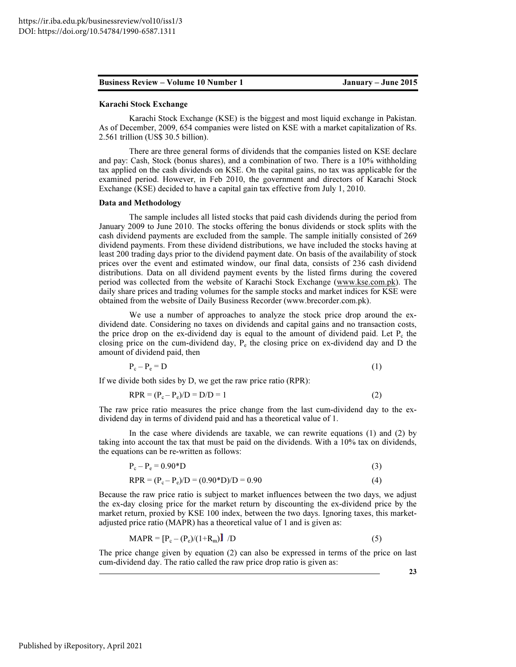#### Karachi Stock Exchange

Karachi Stock Exchange (KSE) is the biggest and most liquid exchange in Pakistan. As of December, 2009, 654 companies were listed on KSE with a market capitalization of Rs. 2.561 trillion (US\$ 30.5 billion).

There are three general forms of dividends that the companies listed on KSE declare and pay: Cash, Stock (bonus shares), and a combination of two. There is a 10% withholding tax applied on the cash dividends on KSE. On the capital gains, no tax was applicable for the examined period. However, in Feb 2010, the government and directors of Karachi Stock Exchange (KSE) decided to have a capital gain tax effective from July 1, 2010.

#### Data and Methodology

The sample includes all listed stocks that paid cash dividends during the period from January 2009 to June 2010. The stocks offering the bonus dividends or stock splits with the cash dividend payments are excluded from the sample. The sample initially consisted of 269 dividend payments. From these dividend distributions, we have included the stocks having at least 200 trading days prior to the dividend payment date. On basis of the availability of stock prices over the event and estimated window, our final data, consists of 236 cash dividend distributions. Data on all dividend payment events by the listed firms during the covered period was collected from the website of Karachi Stock Exchange (www.kse.com.pk). The daily share prices and trading volumes for the sample stocks and market indices for KSE were obtained from the website of Daily Business Recorder (www.brecorder.com.pk).

We use a number of approaches to analyze the stock price drop around the exdividend date. Considering no taxes on dividends and capital gains and no transaction costs, the price drop on the ex-dividend day is equal to the amount of dividend paid. Let  $P_c$  the closing price on the cum-dividend day,  $P_e$  the closing price on ex-dividend day and D the amount of dividend paid, then

$$
P_c - P_e = D \tag{1}
$$

If we divide both sides by D, we get the raw price ratio (RPR):

$$
RPR = (P_c - P_e)/D = D/D = 1
$$
\n<sup>(2)</sup>

The raw price ratio measures the price change from the last cum-dividend day to the exdividend day in terms of dividend paid and has a theoretical value of 1.

In the case where dividends are taxable, we can rewrite equations (1) and (2) by taking into account the tax that must be paid on the dividends. With a 10% tax on dividends, the equations can be re-written as follows:

$$
P_c - P_e = 0.90 \times D \tag{3}
$$

$$
RPR = (P_c - P_e)/D = (0.90*D)/D = 0.90
$$
 (4)

Because the raw price ratio is subject to market influences between the two days, we adjust the ex-day closing price for the market return by discounting the ex-dividend price by the market return, proxied by KSE 100 index, between the two days. Ignoring taxes, this marketadjusted price ratio (MAPR) has a theoretical value of 1 and is given as:

$$
MAPR = [P_c - (P_e)/(1 + R_m)] / D \tag{5}
$$

The price change given by equation (2) can also be expressed in terms of the price on last cum-dividend day. The ratio called the raw price drop ratio is given as:

23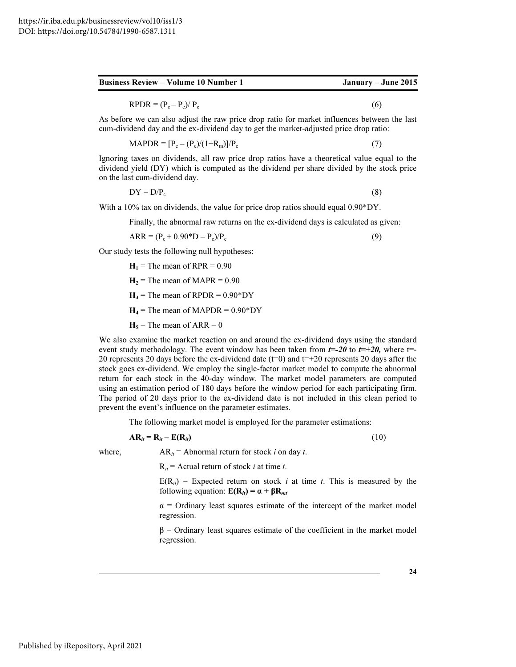| January – June 2015<br><b>Business Review – Volume 10 Number 1</b> |
|--------------------------------------------------------------------|
|--------------------------------------------------------------------|

 $RPDR = (P_c - P_e)/P_c$ (6)

As before we can also adjust the raw price drop ratio for market influences between the last cum-dividend day and the ex-dividend day to get the market-adjusted price drop ratio:

$$
MAPDR = [Pc - (Pe)/(1 + Rm)]/Pc
$$
\n(7)

Ignoring taxes on dividends, all raw price drop ratios have a theoretical value equal to the dividend yield (DY) which is computed as the dividend per share divided by the stock price on the last cum-dividend day.

$$
DY = D/P_c \tag{8}
$$

With a 10% tax on dividends, the value for price drop ratios should equal 0.90\*DY.

Finally, the abnormal raw returns on the ex-dividend days is calculated as given:

$$
ARR = (P_e + 0.90^*D - P_c)/P_c
$$
 (9)

Our study tests the following null hypotheses:

 $H_1$  = The mean of RPR = 0.90

$$
H_2
$$
 = The mean of MAPR = 0.90

 $H_3$  = The mean of RPDR = 0.90\*DY

 $H_4$  = The mean of MAPDR = 0.90\*DY

 $H_5$  = The mean of ARR = 0

We also examine the market reaction on and around the ex-dividend days using the standard event study methodology. The event window has been taken from  $t=-20$  to  $t=+20$ , where t=-20 represents 20 days before the ex-dividend date ( $t=0$ ) and  $t=+20$  represents 20 days after the stock goes ex-dividend. We employ the single-factor market model to compute the abnormal return for each stock in the 40-day window. The market model parameters are computed using an estimation period of 180 days before the window period for each participating firm. The period of 20 days prior to the ex-dividend date is not included in this clean period to prevent the event's influence on the parameter estimates.

The following market model is employed for the parameter estimations:

$$
AR_{it} = R_{it} - E(R_{it})
$$
\n(10)

where,  $AR_{it} = Abnormal$  return for stock *i* on day *t*.

 $R_{it}$  = Actual return of stock *i* at time *t*.

 $E(R_{it})$  = Expected return on stock *i* at time *t*. This is measured by the following equation:  $E(R_{it}) = \alpha + \beta R_{mt}$ 

 $\alpha$  = Ordinary least squares estimate of the intercept of the market model regression.

 $β =$  Ordinary least squares estimate of the coefficient in the market model regression.

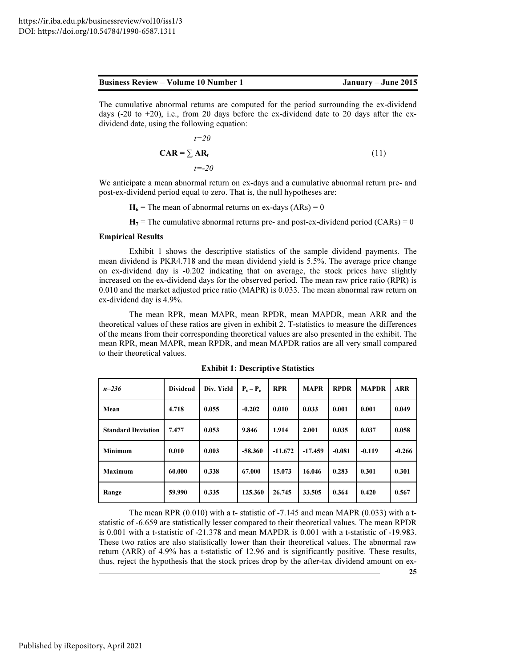| <b>Business Review – Volume 10 Number 1</b> |  |  |
|---------------------------------------------|--|--|
|                                             |  |  |

The cumulative abnormal returns are computed for the period surrounding the ex-dividend days (-20 to  $+20$ ), i.e., from 20 days before the ex-dividend date to 20 days after the exdividend date, using the following equation:

$$
t=20
$$
  

$$
CAR = \sum AR_t
$$
  

$$
t=-20
$$
 (11)

We anticipate a mean abnormal return on ex-days and a cumulative abnormal return pre- and post-ex-dividend period equal to zero. That is, the null hypotheses are:

 $H_6$  = The mean of abnormal returns on ex-days (ARs) = 0

 $H_7$  = The cumulative abnormal returns pre- and post-ex-dividend period (CARs) = 0

#### Empirical Results

Exhibit 1 shows the descriptive statistics of the sample dividend payments. The mean dividend is PKR4.718 and the mean dividend yield is 5.5%. The average price change on ex-dividend day is -0.202 indicating that on average, the stock prices have slightly increased on the ex-dividend days for the observed period. The mean raw price ratio (RPR) is 0.010 and the market adjusted price ratio (MAPR) is 0.033. The mean abnormal raw return on ex-dividend day is 4.9%.

The mean RPR, mean MAPR, mean RPDR, mean MAPDR, mean ARR and the theoretical values of these ratios are given in exhibit 2. T-statistics to measure the differences of the means from their corresponding theoretical values are also presented in the exhibit. The mean RPR, mean MAPR, mean RPDR, and mean MAPDR ratios are all very small compared to their theoretical values.

| $n = 236$                 | <b>Dividend</b> | Div. Yield | $P_c - P_e$ | <b>RPR</b> | <b>MAPR</b> | <b>RPDR</b> | <b>MAPDR</b> | <b>ARR</b> |
|---------------------------|-----------------|------------|-------------|------------|-------------|-------------|--------------|------------|
| Mean                      | 4.718           | 0.055      | $-0.202$    | 0.010      | 0.033       | 0.001       | 0.001        | 0.049      |
| <b>Standard Deviation</b> | 7.477           | 0.053      | 9.846       | 1.914      | 2.001       | 0.035       | 0.037        | 0.058      |
| Minimum                   | 0.010           | 0.003      | $-58.360$   | $-11.672$  | $-17.459$   | $-0.081$    | $-0.119$     | $-0.266$   |
| <b>Maximum</b>            | 60.000          | 0.338      | 67.000      | 15.073     | 16.046      | 0.283       | 0.301        | 0.301      |
| Range                     | 59.990          | 0.335      | 125.360     | 26.745     | 33.505      | 0.364       | 0.420        | 0.567      |

Exhibit 1: Descriptive Statistics

The mean RPR (0.010) with a t- statistic of -7.145 and mean MAPR (0.033) with a tstatistic of -6.659 are statistically lesser compared to their theoretical values. The mean RPDR is 0.001 with a t-statistic of -21.378 and mean MAPDR is 0.001 with a t-statistic of -19.983. These two ratios are also statistically lower than their theoretical values. The abnormal raw return (ARR) of 4.9% has a t-statistic of 12.96 and is significantly positive. These results, thus, reject the hypothesis that the stock prices drop by the after-tax dividend amount on ex-

25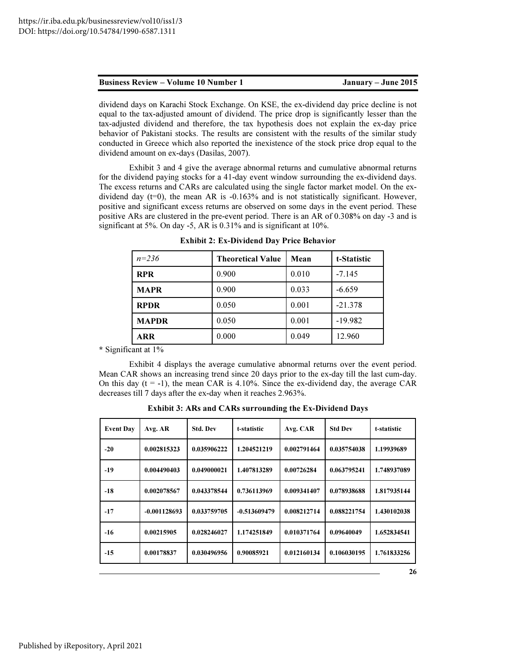| <b>Business Review – Volume 10 Number 1</b> | January – June 2015 |
|---------------------------------------------|---------------------|
|                                             |                     |

dividend days on Karachi Stock Exchange. On KSE, the ex-dividend day price decline is not equal to the tax-adjusted amount of dividend. The price drop is significantly lesser than the tax-adjusted dividend and therefore, the tax hypothesis does not explain the ex-day price behavior of Pakistani stocks. The results are consistent with the results of the similar study conducted in Greece which also reported the inexistence of the stock price drop equal to the dividend amount on ex-days (Dasilas, 2007).

Exhibit 3 and 4 give the average abnormal returns and cumulative abnormal returns for the dividend paying stocks for a 41-day event window surrounding the ex-dividend days. The excess returns and CARs are calculated using the single factor market model. On the exdividend day  $(t=0)$ , the mean AR is  $-0.163\%$  and is not statistically significant. However, positive and significant excess returns are observed on some days in the event period. These positive ARs are clustered in the pre-event period. There is an AR of 0.308% on day -3 and is significant at 5%. On day -5, AR is 0.31% and is significant at 10%.

| $n = 236$    | <b>Theoretical Value</b> | Mean  | t-Statistic |
|--------------|--------------------------|-------|-------------|
| <b>RPR</b>   | 0.900                    | 0.010 | $-7.145$    |
| <b>MAPR</b>  | 0.900                    | 0.033 | $-6.659$    |
| <b>RPDR</b>  | 0.050                    | 0.001 | $-21.378$   |
| <b>MAPDR</b> | 0.050                    | 0.001 | $-19.982$   |
| <b>ARR</b>   | 0.000                    | 0.049 | 12.960      |

Exhibit 2: Ex-Dividend Day Price Behavior

\* Significant at 1%

Exhibit 4 displays the average cumulative abnormal returns over the event period. Mean CAR shows an increasing trend since 20 days prior to the ex-day till the last cum-day. On this day  $(t = -1)$ , the mean CAR is 4.10%. Since the ex-dividend day, the average CAR decreases till 7 days after the ex-day when it reaches 2.963%.

| <b>Event Day</b> | Avg. AR        | <b>Std. Dev</b> | t-statistic    | Avg. CAR    | <b>Std Dev</b> | t-statistic |
|------------------|----------------|-----------------|----------------|-------------|----------------|-------------|
| $-20$            | 0.002815323    | 0.035906222     | 1.204521219    | 0.002791464 | 0.035754038    | 1.19939689  |
| -19              | 0.004490403    | 0.049000021     | 1.407813289    | 0.00726284  | 0.063795241    | 1.748937089 |
| $-18$            | 0.002078567    | 0.043378544     | 0.736113969    | 0.009341407 | 0.078938688    | 1.817935144 |
| $-17$            | $-0.001128693$ | 0.033759705     | $-0.513609479$ | 0.008212714 | 0.088221754    | 1.430102038 |
| $-16$            | 0.00215905     | 0.028246027     | 1.174251849    | 0.010371764 | 0.09640049     | 1.652834541 |
| $-15$            | 0.00178837     | 0.030496956     | 0.90085921     | 0.012160134 | 0.106030195    | 1.761833256 |
|                  |                |                 |                |             |                | 26          |

Exhibit 3: ARs and CARs surrounding the Ex-Dividend Days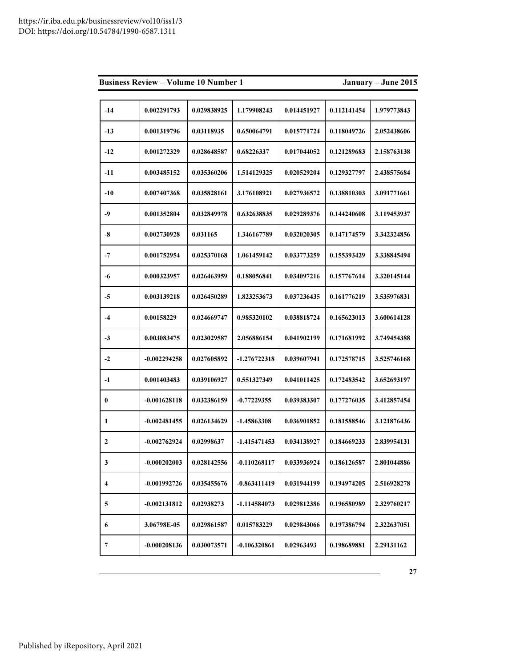| <b>Business Review - Volume 10 Number 1</b><br>January - June 2015 |                |             |                |             |             |             |  |  |
|--------------------------------------------------------------------|----------------|-------------|----------------|-------------|-------------|-------------|--|--|
|                                                                    |                |             |                |             |             |             |  |  |
| $-14$                                                              | 0.002291793    | 0.029838925 | 1.179908243    | 0.014451927 | 0.112141454 | 1.979773843 |  |  |
| $-13$                                                              | 0.001319796    | 0.03118935  | 0.650064791    | 0.015771724 | 0.118049726 | 2.052438606 |  |  |
| $-12$                                                              | 0.001272329    | 0.028648587 | 0.68226337     | 0.017044052 | 0.121289683 | 2.158763138 |  |  |
| -11                                                                | 0.003485152    | 0.035360206 | 1.514129325    | 0.020529204 | 0.129327797 | 2.438575684 |  |  |
| $-10$                                                              | 0.007407368    | 0.035828161 | 3.176108921    | 0.027936572 | 0.138810303 | 3.091771661 |  |  |
| $-9$                                                               | 0.001352804    | 0.032849978 | 0.632638835    | 0.029289376 | 0.144240608 | 3.119453937 |  |  |
| -8                                                                 | 0.002730928    | 0.031165    | 1.346167789    | 0.032020305 | 0.147174579 | 3.342324856 |  |  |
| $-7$                                                               | 0.001752954    | 0.025370168 | 1.061459142    | 0.033773259 | 0.155393429 | 3.338845494 |  |  |
| -6                                                                 | 0.000323957    | 0.026463959 | 0.188056841    | 0.034097216 | 0.157767614 | 3.320145144 |  |  |
| $-5$                                                               | 0.003139218    | 0.026450289 | 1.823253673    | 0.037236435 | 0.161776219 | 3.535976831 |  |  |
| $-4$                                                               | 0.00158229     | 0.024669747 | 0.985320102    | 0.038818724 | 0.165623013 | 3.600614128 |  |  |
| $-3$                                                               | 0.003083475    | 0.023029587 | 2.056886154    | 0.041902199 | 0.171681992 | 3.749454388 |  |  |
| $-2$                                                               | $-0.002294258$ | 0.027605892 | -1.276722318   | 0.039607941 | 0.172578715 | 3.525746168 |  |  |
| -1                                                                 | 0.001403483    | 0.039106927 | 0.551327349    | 0.041011425 | 0.172483542 | 3.652693197 |  |  |
| $\bf{0}$                                                           | $-0.001628118$ | 0.032386159 | $-0.77229355$  | 0.039383307 | 0.177276035 | 3.412857454 |  |  |
| 1                                                                  | $-0.002481455$ | 0.026134629 | $-1.45863308$  | 0.036901852 | 0.181588546 | 3.121876436 |  |  |
| $\overline{2}$                                                     | $-0.002762924$ | 0.02998637  | -1.415471453   | 0.034138927 | 0.184669233 | 2.839954131 |  |  |
| 3                                                                  | $-0.000202003$ | 0.028142556 | $-0.110268117$ | 0.033936924 | 0.186126587 | 2.801044886 |  |  |
| 4                                                                  | -0.001992726   | 0.035455676 | $-0.863411419$ | 0.031944199 | 0.194974205 | 2.516928278 |  |  |
| 5                                                                  | $-0.002131812$ | 0.02938273  | -1.114584073   | 0.029812386 | 0.196580989 | 2.329760217 |  |  |
| 6                                                                  | 3.06798E-05    | 0.029861587 | 0.015783229    | 0.029843066 | 0.197386794 | 2.322637051 |  |  |
| 7                                                                  | $-0.000208136$ | 0.030073571 | $-0.106320861$ | 0.02963493  | 0.198689881 | 2.29131162  |  |  |

27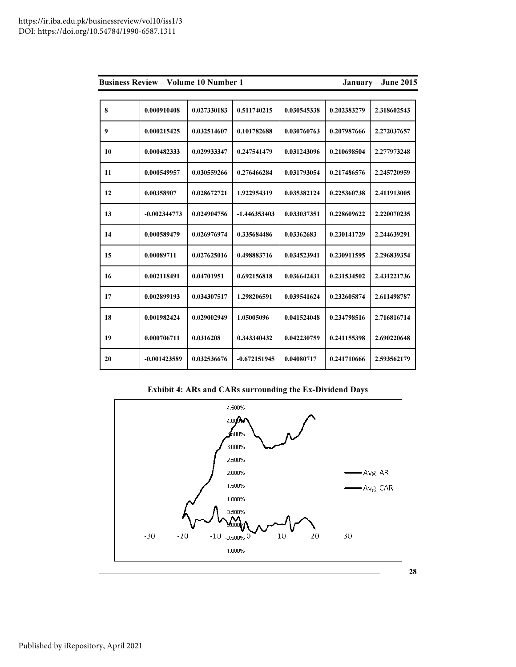|    | <b>Business Review – Volume 10 Number 1</b> |             | January - June 2015 |             |             |             |
|----|---------------------------------------------|-------------|---------------------|-------------|-------------|-------------|
|    |                                             |             |                     |             |             |             |
| 8  | 0.000910408                                 | 0.027330183 | 0.511740215         | 0.030545338 | 0.202383279 | 2.318602543 |
| 9  | 0.000215425                                 | 0.032514607 | 0.101782688         | 0.030760763 | 0.207987666 | 2.272037657 |
| 10 | 0.000482333                                 | 0.029933347 | 0.247541479         | 0.031243096 | 0.210698504 | 2.277973248 |
| 11 | 0.000549957                                 | 0.030559266 | 0.276466284         | 0.031793054 | 0.217486576 | 2.245720959 |
| 12 | 0.00358907                                  | 0.028672721 | 1.922954319         | 0.035382124 | 0.225360738 | 2.411913005 |
| 13 | $-0.002344773$                              | 0.024904756 | $-1.446353403$      | 0.033037351 | 0.228609622 | 2.220070235 |
| 14 | 0.000589479                                 | 0.026976974 | 0.335684486         | 0.03362683  | 0.230141729 | 2.244639291 |
| 15 | 0.00089711                                  | 0.027625016 | 0.498883716         | 0.034523941 | 0.230911595 | 2.296839354 |
| 16 | 0.002118491                                 | 0.04701951  | 0.692156818         | 0.036642431 | 0.231534502 | 2.431221736 |
| 17 | 0.002899193                                 | 0.034307517 | 1.298206591         | 0.039541624 | 0.232605874 | 2.611498787 |
| 18 | 0.001982424                                 | 0.029002949 | 1.05005096          | 0.041524048 | 0.234798516 | 2.716816714 |
| 19 | 0.000706711                                 | 0.0316208   | 0.343340432         | 0.042230759 | 0.241155398 | 2.690220648 |
| 20 | $-0.001423589$                              | 0.032536676 | $-0.672151945$      | 0.04080717  | 0.241710666 | 2.593562179 |

Exhibit 4: ARs and CARs surrounding the Ex-Dividend Days

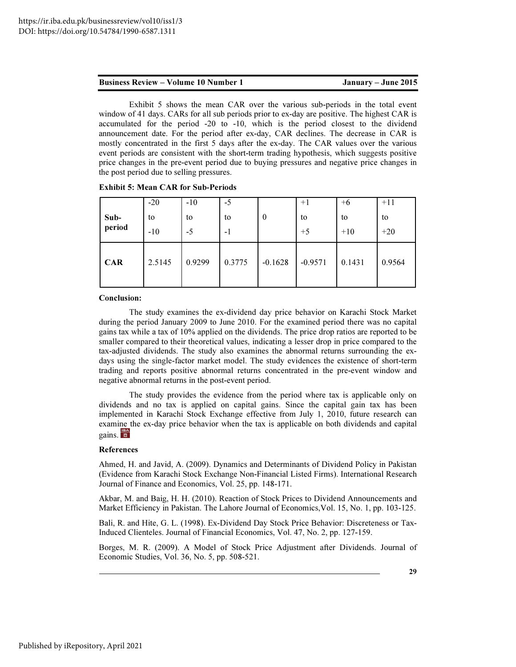Exhibit 5 shows the mean CAR over the various sub-periods in the total event window of 41 days. CARs for all sub periods prior to ex-day are positive. The highest CAR is accumulated for the period -20 to -10, which is the period closest to the dividend announcement date. For the period after ex-day, CAR declines. The decrease in CAR is mostly concentrated in the first 5 days after the ex-day. The CAR values over the various event periods are consistent with the short-term trading hypothesis, which suggests positive price changes in the pre-event period due to buying pressures and negative price changes in the post period due to selling pressures.

| <b>Exhibit 5: Mean CAR for Sub-Periods</b> |  |  |
|--------------------------------------------|--|--|
|--------------------------------------------|--|--|

| Sub-<br>period | $-20$<br>to<br>$-10$ | $-10$<br>to<br>-5 | $-5$<br>to<br>$-1$ | $\theta$  | $+1$<br>to<br>$+5$ | $+6$<br>to<br>$+10$ | $+11$<br>to<br>$+20$ |
|----------------|----------------------|-------------------|--------------------|-----------|--------------------|---------------------|----------------------|
| <b>CAR</b>     | 2.5145               | 0.9299            | 0.3775             | $-0.1628$ | $-0.9571$          | 0.1431              | 0.9564               |

#### Conclusion:

The study examines the ex-dividend day price behavior on Karachi Stock Market during the period January 2009 to June 2010. For the examined period there was no capital gains tax while a tax of 10% applied on the dividends. The price drop ratios are reported to be smaller compared to their theoretical values, indicating a lesser drop in price compared to the tax-adjusted dividends. The study also examines the abnormal returns surrounding the exdays using the single-factor market model. The study evidences the existence of short-term trading and reports positive abnormal returns concentrated in the pre-event window and negative abnormal returns in the post-event period.

The study provides the evidence from the period where tax is applicable only on dividends and no tax is applied on capital gains. Since the capital gain tax has been implemented in Karachi Stock Exchange effective from July 1, 2010, future research can examine the ex-day price behavior when the tax is applicable on both dividends and capital gains.  $\frac{126}{36}$ 

### References

Ahmed, H. and Javid, A. (2009). Dynamics and Determinants of Dividend Policy in Pakistan (Evidence from Karachi Stock Exchange Non-Financial Listed Firms). International Research Journal of Finance and Economics, Vol. 25, pp. 148-171.

Akbar, M. and Baig, H. H. (2010). Reaction of Stock Prices to Dividend Announcements and Market Efficiency in Pakistan. The Lahore Journal of Economics,Vol. 15, No. 1, pp. 103-125.

Bali, R. and Hite, G. L. (1998). Ex-Dividend Day Stock Price Behavior: Discreteness or Tax-Induced Clienteles. Journal of Financial Economics, Vol. 47, No. 2, pp. 127-159.

Borges, M. R. (2009). A Model of Stock Price Adjustment after Dividends. Journal of Economic Studies, Vol. 36, No. 5, pp. 508-521.